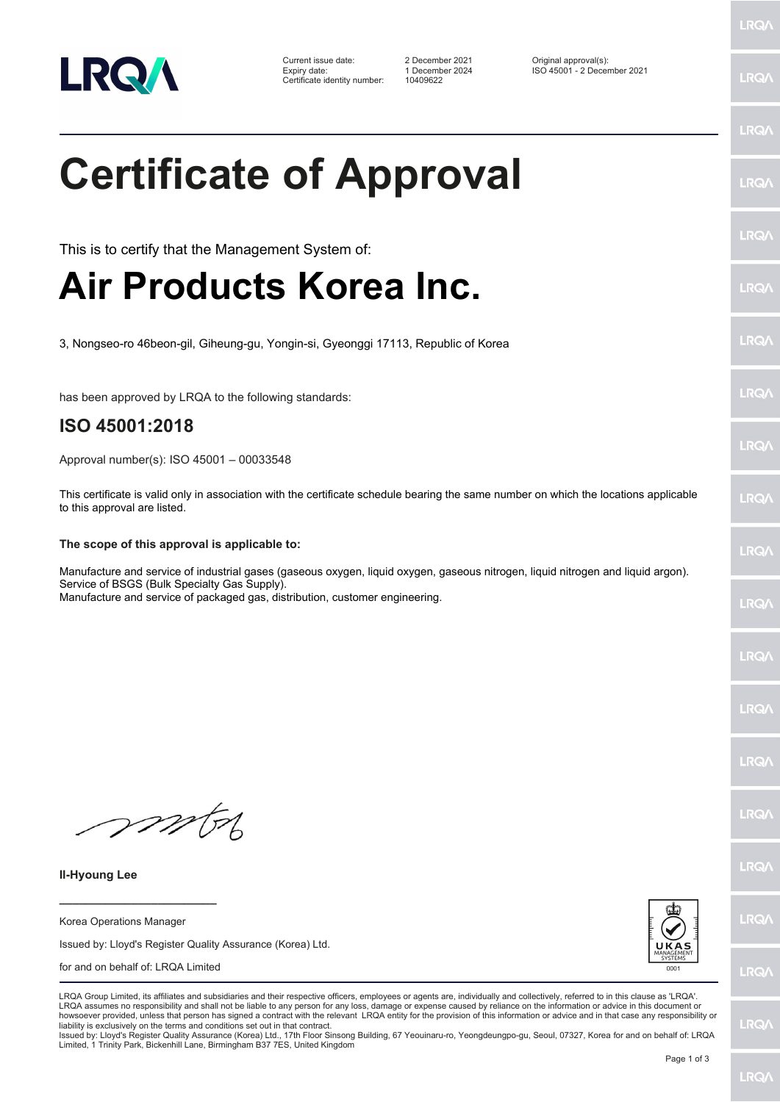

Certificate identity number: 10409622

Current issue date: 2 December 2021 Original approval(s): Expiry date: 1 December 2024 ISO 45001 - 2 December 2021

**Certificate of Approval**

LRQ/

LRQ/

LRQ/

LRQ/

**LRQA** 

**LRO** 

LRQ/

LRQ/

LRQ/

LRQ/

LRQ/

**IRQA** 

LRQ/

LRQ/

**LRQ/** 

LRQA Group Limited, its affiliates and subsidiaries and their respective officers, employees or agents are, individually and collectively, referred to in this clause as 'LRQA'. LRQA assumes no responsibility and shall not be liable to any person for any loss, damage or expense caused by reliance on the information or advice in this document or howsoever provided, unless that person has signed a contract with the relevant LRQA entity for the provision of this information or advice and in that case any responsibility or<br>liability is exclusively on the terms and co

Issued by: Lloyd's Register Quality Assurance (Korea) Ltd., 17th Floor Sinsong Building, 67 Yeouinaru-ro, Yeongdeungpo-gu, Seoul, 07327, Korea for and on behalf of: LRQA Limited, 1 Trinity Park, Bickenhill Lane, Birmingham B37 7ES, United Kingdom

LRQ/

mon

**Il-Hyoung Lee**

**\_\_\_\_\_\_\_\_\_\_\_\_\_\_\_\_\_\_\_\_\_\_\_\_** Korea Operations Manager

Issued by: Lloyd's Register Quality Assurance (Korea) Ltd.





LRQ/

LRQ/

LRQ/

LRQ/

This is to certify that the Management System of: **Air Products Korea Inc.**

3, Nongseo-ro 46beon-gil, Giheung-gu, Yongin-si, Gyeonggi 17113, Republic of Korea

has been approved by LRQA to the following standards:

## **ISO 45001:2018**

Approval number(s): ISO 45001 – 00033548

This certificate is valid only in association with the certificate schedule bearing the same number on which the locations applicable to this approval are listed.

## **The scope of this approval is applicable to:**

Manufacture and service of industrial gases (gaseous oxygen, liquid oxygen, gaseous nitrogen, liquid nitrogen and liquid argon). Service of BSGS (Bulk Specialty Gas Supply).

Manufacture and service of packaged gas, distribution, customer engineering.

for and on behalf of: LRQA Limited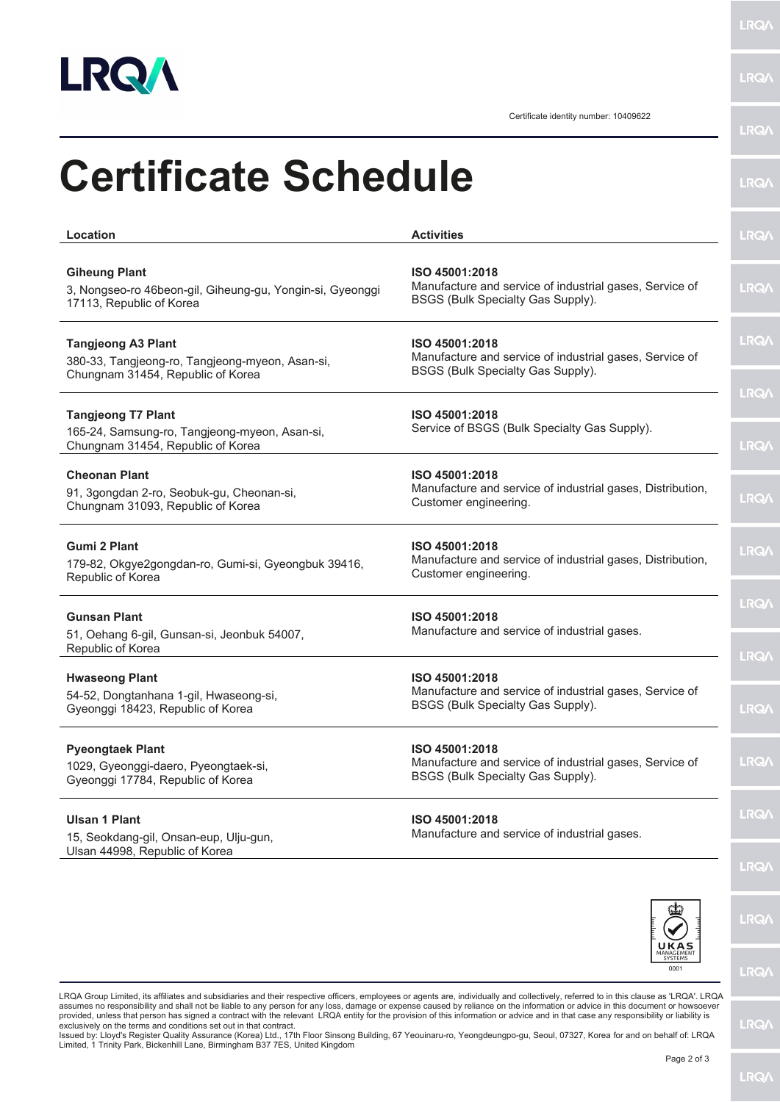

**LRQA** 

|                                                                                                                   | Certificate identity number: 10409622                                                                          | <b>LRQ/</b>                |
|-------------------------------------------------------------------------------------------------------------------|----------------------------------------------------------------------------------------------------------------|----------------------------|
| <b>Certificate Schedule</b>                                                                                       |                                                                                                                | <b>LRQA</b>                |
| Location                                                                                                          | <b>Activities</b>                                                                                              | <b>LRQA</b>                |
| <b>Giheung Plant</b><br>3, Nongseo-ro 46beon-gil, Giheung-gu, Yongin-si, Gyeonggi<br>17113, Republic of Korea     | ISO 45001:2018<br>Manufacture and service of industrial gases, Service of<br>BSGS (Bulk Specialty Gas Supply). | <b>LRQA</b>                |
| <b>Tangjeong A3 Plant</b><br>380-33, Tangjeong-ro, Tangjeong-myeon, Asan-si,<br>Chungnam 31454, Republic of Korea | ISO 45001:2018<br>Manufacture and service of industrial gases, Service of<br>BSGS (Bulk Specialty Gas Supply). | <b>LRQA</b>                |
| <b>Tangjeong T7 Plant</b><br>165-24, Samsung-ro, Tangjeong-myeon, Asan-si,<br>Chungnam 31454, Republic of Korea   | ISO 45001:2018<br>Service of BSGS (Bulk Specialty Gas Supply).                                                 | <b>LRQA</b><br><b>LRQ/</b> |
| <b>Cheonan Plant</b><br>91, 3gongdan 2-ro, Seobuk-gu, Cheonan-si,<br>Chungnam 31093, Republic of Korea            | ISO 45001:2018<br>Manufacture and service of industrial gases, Distribution,<br>Customer engineering.          | <b>LRQA</b>                |
| <b>Gumi 2 Plant</b><br>179-82, Okgye2gongdan-ro, Gumi-si, Gyeongbuk 39416,<br>Republic of Korea                   | ISO 45001:2018<br>Manufacture and service of industrial gases, Distribution,<br>Customer engineering.          | <b>LRQA</b>                |
| <b>Gunsan Plant</b><br>51, Oehang 6-gil, Gunsan-si, Jeonbuk 54007,<br>Republic of Korea                           | ISO 45001:2018<br>Manufacture and service of industrial gases.                                                 | <b>LRQA</b><br><b>LRQ/</b> |
| <b>Hwaseong Plant</b><br>54-52, Dongtanhana 1-gil, Hwaseong-si,<br>Gyeonggi 18423, Republic of Korea              | ISO 45001:2018<br>Manufacture and service of industrial gases, Service of<br>BSGS (Bulk Specialty Gas Supply). | LRQ/                       |
| <b>Pyeongtaek Plant</b><br>1029, Gyeonggi-daero, Pyeongtaek-si,<br>Gyeonggi 17784, Republic of Korea              | ISO 45001:2018<br>Manufacture and service of industrial gases, Service of<br>BSGS (Bulk Specialty Gas Supply). | <b>LRQ/</b>                |
| <b>Ulsan 1 Plant</b><br>15, Seokdang-gil, Onsan-eup, Ulju-gun,<br>Ulsan 44998, Republic of Korea                  | ISO 45001:2018<br>Manufacture and service of industrial gases.                                                 | LRQ/                       |
|                                                                                                                   |                                                                                                                | LRQ/<br>LRQ/               |



**LRQA** 

**LRQA** 

LRQA Group Limited, its affiliates and subsidiaries and their respective officers, employees or agents are, individually and collectively, referred to in this clause as 'LRQA'. LRQA assumes no responsibility and shall not be liable to any person for any loss, damage or expense caused by reliance on the information or advice in this document or howsoever<br>provided, unless that person has signed a contra